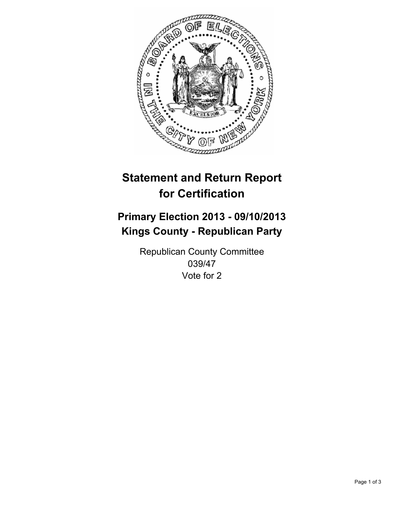

# **Statement and Return Report for Certification**

## **Primary Election 2013 - 09/10/2013 Kings County - Republican Party**

Republican County Committee 039/47 Vote for 2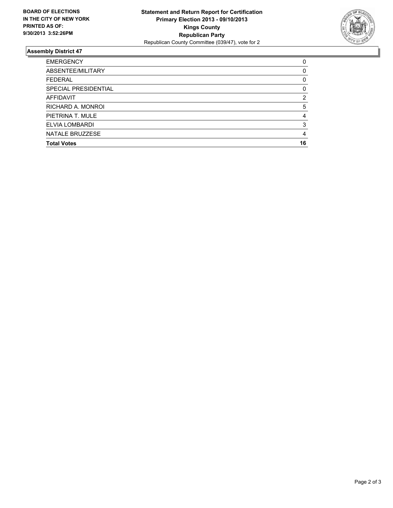

#### **Assembly District 47**

| 0  |
|----|
| 0  |
| 0  |
| 0  |
| 2  |
| 5  |
| 4  |
| 3  |
| 4  |
| 16 |
|    |